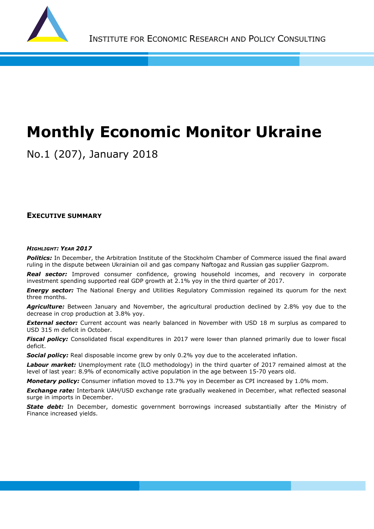

# **Monthly Economic Monitor Ukraine**

No.1 (207), January 2018

**EXECUTIVE SUMMARY**

#### *HIGHLIGHT: YEAR 2017*

*Politics:* In December, the Arbitration Institute of the Stockholm Chamber of Commerce issued the final award ruling in the dispute between Ukrainian oil and gas company Naftogaz and Russian gas supplier Gazprom.

*Real sector:* Improved consumer confidence, growing household incomes, and recovery in corporate investment spending supported real GDP growth at 2.1% yoy in the third quarter of 2017.

**Energy sector:** The National Energy and Utilities Regulatory Commission regained its quorum for the next three months.

**Agriculture:** Between January and November, the agricultural production declined by 2.8% yoy due to the decrease in crop production at 3.8% yoy.

**External sector:** Current account was nearly balanced in November with USD 18 m surplus as compared to USD 315 m deficit in October.

*Fiscal policy:* Consolidated fiscal expenditures in 2017 were lower than planned primarily due to lower fiscal deficit.

**Social policy:** Real disposable income grew by only 0.2% yoy due to the accelerated inflation.

*Labour market:* Unemployment rate (ILO methodology) in the third quarter of 2017 remained almost at the level of last year: 8.9% of economically active population in the age between 15-70 years old.

*Monetary policy:* Consumer inflation moved to 13.7% yoy in December as CPI increased by 1.0% mom.

*Exchange rate:* Interbank UAH/USD exchange rate gradually weakened in December, what reflected seasonal surge in imports in December.

**State debt:** In December, domestic government borrowings increased substantially after the Ministry of Finance increased yields.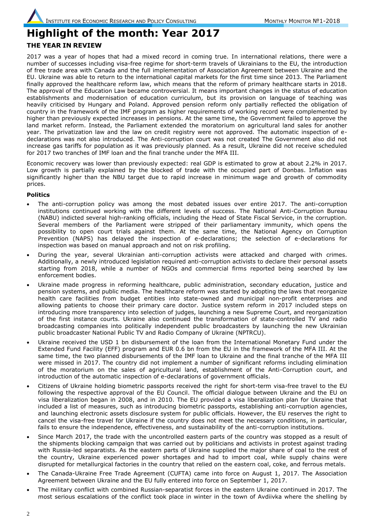### **Highlight of the month: Year 2017 THE YEAR IN REVIEW**

2017 was a year of hopes that had a mixed record in coming true. In international relations, there were a number of successes including visa-free regime for short-term travels of Ukrainians to the EU, the introduction of free trade area with Canada and the full implementation of Association Agreement between Ukraine and the EU. Ukraine was able to return to the international capital markets for the first time since 2013. The Parliament finally approved the healthcare reform law, which means that the reform of primary healthcare starts in 2018. The approval of the Education Law became controversial. It means important changes in the status of education establishments and modernisation of education curriculum, but its provision on language of teaching was heavily criticised by Hungary and Poland. Approved pension reform only partially reflected the obligation of country in the framework of the IMF program as higher requirements of working record were complemented by higher than previously expected increases in pensions. At the same time, the Government failed to approve the land market reform. Instead, the Parliament extended the moratorium on agricultural land sales for another year. The privatization law and the law on credit registry were not approved. The automatic inspection of edeclarations was not also introduced. The Anti-corruption court was not created The Government also did not increase gas tariffs for population as it was previously planned. As a result, Ukraine did not receive scheduled for 2017 two tranches of IMF loan and the final tranche under the MFA III.

Economic recovery was lower than previously expected: real GDP is estimated to grow at about 2.2% in 2017. Low growth is partially explained by the blocked of trade with the occupied part of Donbas. Inflation was significantly higher than the NBU target due to rapid increase in minimum wage and growth of commodity prices.

#### **Politics**

- The anti-corruption policy was among the most debated issues over entire 2017. The anti-corruption institutions continued working with the different levels of success. The National Anti-Corruption Bureau (NABU) indicted several high-ranking officials, including the Head of State Fiscal Service, in the corruption. Several members of the Parliament were stripped of their parliamentary immunity, which opens the possibility to open court trials against them. At the same time, the National Agency on Corruption Prevention (NAPS) has delayed the inspection of e-declarations; the selection of e-declarations for inspection was based on manual approach and not on risk profiling.
- During the year, several Ukrainian anti-corruption activists were attacked and charged with crimes. Additionally, a newly introduced legislation required anti-corruption activists to declare their personal assets starting from 2018, while a number of NGOs and commercial firms reported being searched by law enforcement bodies.
- Ukraine made progress in reforming healthcare, public administration, secondary education, justice and pension systems, and public media. The healthcare reform was started by adopting the laws that reorganize health care facilities from budget entities into state-owned and municipal non-profit enterprises and allowing patients to choose their primary care doctor. Justice system reform in 2017 included steps on introducing more transparency into selection of judges, launching a new Supreme Court, and reorganization of the first instance courts. Ukraine also continued the transformation of state-controlled TV and radio broadcasting companies into politically independent public broadcasters by launching the new Ukrainian public broadcaster National Public TV and Radio Company of Ukraine (NPTRCU).
- Ukraine received the USD 1 bn disbursement of the loan from the International Monetary Fund under the Extended Fund Facility (EFF) program and EUR 0.6 bn from the EU in the framework of the MFA III. At the same time, the two planned disbursements of the IMF loan to Ukraine and the final tranche of the MFA III were missed in 2017. The country did not implement a number of significant reforms including elimination of the moratorium on the sales of agricultural land, establishment of the Anti-Corruption court, and introduction of the automatic inspection of e-declarations of government officials.
- Citizens of Ukraine holding biometric passports received the right for short-term visa-free travel to the EU following the respective approval of the EU Council. The official dialogue between Ukraine and the EU on visa liberalization began in 2008, and in 2010. The EU provided a visa liberalization plan for Ukraine that included a list of measures, such as introducing biometric passports, establishing anti-corruption agencies, and launching electronic assets disclosure system for public officials. However, the EU reserves the right to cancel the visa-free travel for Ukraine if the country does not meet the necessary conditions, in particular, fails to ensure the independence, effectiveness, and sustainability of the anti-corruption institutions.
- Since March 2017, the trade with the uncontrolled eastern parts of the country was stopped as a result of the shipments blocking campaign that was carried out by politicians and activists in protest against trading with Russia-led separatists. As the eastern parts of Ukraine supplied the major share of coal to the rest of the country, Ukraine experienced power shortages and had to import coal, while supply chains were disrupted for metallurgical factories in the country that relied on the eastern coal, coke, and ferrous metals.
- The Canada-Ukraine Free Trade Agreement (CUFTA) came into force on August 1, 2017. The Association Agreement between Ukraine and the EU fully entered into force on September 1, 2017.
- The military conflict with combined Russian-separatist forces in the eastern Ukraine continued in 2017. The most serious escalations of the conflict took place in winter in the town of Avdiivka where the shelling by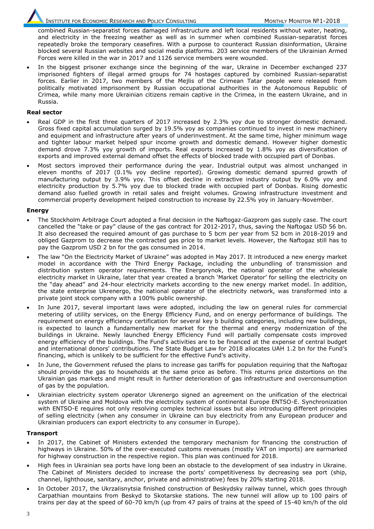INSTITUTE FOR ECONOMIC RESEARCH AND POLICY CONSULTING MONITOR MONTHLY MONITOR Nº1-2018

combined Russian-separatist forces damaged infrastructure and left local residents without water, heating, and electricity in the freezing weather as well as in summer when combined Russian-separatist forces repeatedly broke the temporary ceasefires. With a purpose to counteract Russian disinformation, Ukraine blocked several Russian websites and social media platforms. 203 service members of the Ukrainian Armed Forces were killed in the war in 2017 and 1126 service members were wounded.

 In the biggest prisoner exchange since the beginning of the war, Ukraine in December exchanged 237 imprisoned fighters of illegal armed groups for 74 hostages captured by combined Russian-separatist forces. Earlier in 2017, two members of the Mejlis of the Crimean Tatar people were released from politically motivated imprisonment by Russian occupational authorities in the Autonomous Republic of Crimea, while many more Ukrainian citizens remain captive in the Crimea, in the eastern Ukraine, and in Russia.

#### **Real sector**

- Real GDP in the first three quarters of 2017 increased by 2.3% yoy due to stronger domestic demand. Gross fixed capital accumulation surged by 19.5% yoy as companies continued to invest in new machinery and equipment and infrastructure after years of underinvestment. At the same time, higher minimum wage and tighter labour market helped spur income growth and domestic demand. However higher domestic demand drove 7.3% yoy growth of imports. Real exports increased by 1.8% yoy as diversification of exports and improved external demand offset the effects of blocked trade with occupied part of Donbas.
- Most sectors improved their performance during the year. Industrial output was almost unchanged in eleven months of 2017 (0.1% yoy decline reported). Growing domestic demand spurred growth of manufacturing output by 3.9% yoy. This offset decline in extractive industry output by 6.0% yoy and electricity production by 5.7% yoy due to blocked trade with occupied part of Donbas. Rising domestic demand also fuelled growth in retail sales and freight volumes. Growing infrastructure investment and commercial property development helped construction to increase by 22.5% yoy in January-November.

#### **Energy**

- The Stockholm Arbitrage Court adopted a final decision in the Naftogaz-Gazprom gas supply case. The court cancelled the "take or pay" clause of the gas contract for 2012-2017, thus, saving the Naftogaz USD 56 bn. It also decreased the required amount of gas purchase to 5 bcm per year from 52 bcm in 2018-2019 and obliged Gazprom to decrease the contracted gas price to market levels. However, the Naftogaz still has to pay the Gazprom USD 2 bn for the gas consumed in 2014.
- The law "On the Electricity Market of Ukraine" was adopted in May 2017. It introduced a new energy market model in accordance with the Third Energy Package, including the unbundling of transmission and distribution system operator requirements. The Energorynok, the national operator of the wholesale electricity market in Ukraine, later that year created a branch 'Market Operator' for selling the electricity on the "day ahead" and 24-hour electricity markets according to the new energy market model. In addition, the state enterprise Ukrenergo, the national operator of the electricity network, was transformed into a private joint stock company with a 100% public ownership.
- In June 2017, several important laws were adopted, including the law on general rules for commercial metering of utility services, on the Energy Efficiency Fund, and on energy performance of buildings. The requirement on energy efficiency certification for several key b building categories, including new buildings, is expected to launch a fundamentally new market for the thermal and energy modernization of the buildings in Ukraine. Newly launched Energy Efficiency Fund will partially compensate costs improved energy efficiency of the buildings. The Fund's activities are to be financed at the expense of central budget and international donors' contributions. The State Budget Law for 2018 allocates UAH 1.2 bn for the Fund's financing, which is unlikely to be sufficient for the effective Fund's activity.
- In June, the Government refused the plans to increase gas tariffs for population requiring that the Naftogaz should provide the gas to households at the same price as before. This returns price distortions on the Ukrainian gas markets and might result in further deterioration of gas infrastructure and overconsumption of gas by the population.
- Ukrainian electricity system operator Ukrenergo signed an agreement on the unification of the electrical system of Ukraine and Moldova with the electricity system of continental Europe ENTSO-E. Synchronization with ENTSO-E requires not only resolving complex technical issues but also introducing different principles of selling electricity (when any consumer in Ukraine can buy electricity from any European producer and Ukrainian producers can export electricity to any consumer in Europe).

#### **Transport**

- In 2017, the Cabinet of Ministers extended the temporary mechanism for financing the construction of highways in Ukraine. 50% of the over-executed customs revenues (mostly VAT on imports) are earmarked for highway construction in the respective region. This plan was continued for 2018.
- High fees in Ukrainian sea ports have long been an obstacle to the development of sea industry in Ukraine. The Cabinet of Ministers decided to increase the ports' competitiveness by decreasing sea port (ship, channel, lighthouse, sanitary, anchor, private and administrative) fees by 20% starting 2018.
- In October 2017, the Ukrzalisnytsia finished construction of Beskydsky railway tunnel, which goes through Carpathian mountains from Beskyd to Skotarske stations. The new tunnel will allow up to 100 pairs of trains per day at the speed of 60-70 km/h (up from 47 pairs of trains at the speed of 15-40 km/h of the old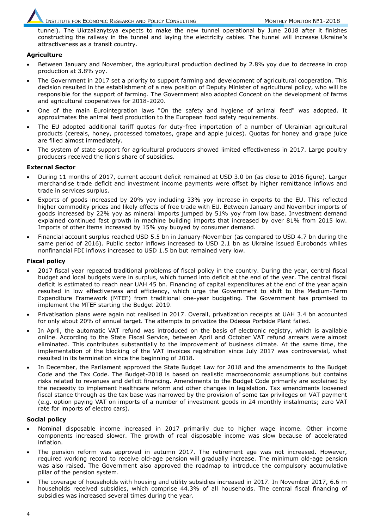tunnel). The Ukrzaliznytsya expects to make the new tunnel operational by June 2018 after it finishes constructing the railway in the tunnel and laying the electricity cables. The tunnel will increase Ukraine's attractiveness as a transit country.

#### **Agriculture**

- Between January and November, the agricultural production declined by 2.8% yoy due to decrease in crop production at 3.8% yoy.
- The Government in 2017 set a priority to support farming and development of agricultural cooperation. This decision resulted in the establishment of a new position of Deputy Minister of agricultural policy, who will be responsible for the support of farming. The Government also adopted Concept on the development of farms and agricultural cooperatives for 2018-2020.
- One of the main Eurointegration laws "On the safety and hygiene of animal feed" was adopted. It approximates the animal feed production to the European food safety requirements.
- The EU adopted additional tariff quotas for duty-free importation of a number of Ukrainian agricultural products (cereals, honey, processed tomatoes, grape and apple juices). Quotas for honey and grape juice are filled almost immediately.
- The system of state support for agricultural producers showed limited effectiveness in 2017. Large poultry producers received the lion's share of subsidies.

#### **External Sector**

- During 11 months of 2017, current account deficit remained at USD 3.0 bn (as close to 2016 figure). Larger merchandise trade deficit and investment income payments were offset by higher remittance inflows and trade in services surplus.
- Exports of goods increased by 20% yoy including 33% yoy increase in exports to the EU. This reflected higher commodity prices and likely effects of free trade with EU. Between January and November imports of goods increased by 22% yoy as mineral imports jumped by 51% yoy from low base. Investment demand explained continued fast growth in machine building imports that increased by over 81% from 2015 low. Imports of other items increased by 15% yoy buoyed by consumer demand.
- Financial account surplus reached USD 5.5 bn in January-November (as compared to USD 4.7 bn during the same period of 2016). Public sector inflows increased to USD 2.1 bn as Ukraine issued Eurobonds whiles nonfinancial FDI inflows increased to USD 1.5 bn but remained very low.

#### **Fiscal policy**

- 2017 fiscal year repeated traditional problems of fiscal policy in the country. During the year, central fiscal budget and local budgets were in surplus, which turned into deficit at the end of the year. The central fiscal deficit is estimated to reach near UAH 45 bn. Financing of capital expenditures at the end of the year again resulted in low effectiveness and efficiency, which urge the Government to shift to the Medium-Term Expenditure Framework (MTEF) from traditional one-year budgeting. The Government has promised to implement the MTEF starting the Budget 2019.
- Privatisation plans were again not realised in 2017. Overall, privatization receipts at UAH 3.4 bn accounted for only about 20% of annual target. The attempts to privatize the Odessa Portside Plant failed.
- In April, the automatic VAT refund was introduced on the basis of electronic registry, which is available online. According to the State Fiscal Service, between April and October VAT refund arrears were almost eliminated. This contributes substantially to the improvement of business climate. At the same time, the implementation of the blocking of the VAT invoices registration since July 2017 was controversial, what resulted in its termination since the beginning of 2018.
- In December, the Parliament approved the State Budget Law for 2018 and the amendments to the Budget Code and the Tax Code. The Budget-2018 is based on realistic macroeconomic assumptions but contains risks related to revenues and deficit financing. Amendments to the Budget Code primarily are explained by the necessity to implement healthcare reform and other changes in legislation. Tax amendments loosened fiscal stance through as the tax base was narrowed by the provision of some tax privileges on VAT payment (e.g. option paying VAT on imports of a number of investment goods in 24 monthly instalments; zero VAT rate for imports of electro cars).

#### **Social policy**

- Nominal disposable income increased in 2017 primarily due to higher wage income. Other income components increased slower. The growth of real disposable income was slow because of accelerated inflation.
- The pension reform was approved in autumn 2017. The retirement age was not increased. However, required working record to receive old-age pension will gradually increase. The minimum old-age pension was also raised. The Government also approved the roadmap to introduce the compulsory accumulative pillar of the pension system.
- The coverage of households with housing and utility subsidies increased in 2017. In November 2017, 6.6 m households received subsidies, which comprise 44.3% of all households. The central fiscal financing of subsidies was increased several times during the year.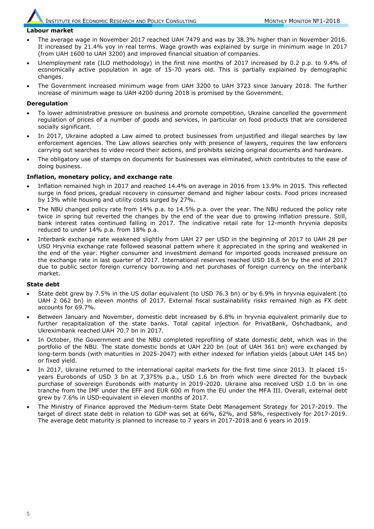#### **Labour market**

- The average wage in November 2017 reached UAH 7479 and was by 38.3% higher than in November 2016. It increased by 21.4% yoy in real terms. Wage growth was explained by surge in minimum wage in 2017 (from UAH 1600 to UAH 3200) and improved financial situation of companies.
- Unemployment rate (ILO methodology) in the first nine months of 2017 increased by 0.2 p.p. to 9.4% of economically active population in age of 15-70 years old. This is partially explained by demographic changes.
- The Government increased minimum wage from UAH 3200 to UAH 3723 since January 2018. The further increase of minimum wage to UAH 4200 during 2018 is promised by the Government.

#### **Deregulation**

- To lower administrative pressure on business and promote competition, Ukraine cancelled the government regulation of prices of a number of goods and services, in particular on food products that are considered socially significant.
- In 2017, Ukraine adopted a Law aimed to protect businesses from unjustified and illegal searches by law enforcement agencies. The Law allows searches only with presence of lawyers, requires the law enforcers carrying out searches to video record their actions, and prohibits seizing original documents and hardware.
- The obligatory use of stamps on documents for businesses was eliminated, which contributes to the ease of doing business.

#### **Inflation, monetary policy, and exchange rate**

- Inflation remained high in 2017 and reached 14.4% on average in 2016 from 13.9% in 2015. This reflected surge in food prices, gradual recovery in consumer demand and higher labour costs. Food prices increased by 13% while housing and utility costs surged by 27%.
- The NBU changed policy rate from 14% p.a. to 14.5% p.a. over the year. The NBU reduced the policy rate twice in spring but reverted the changes by the end of the year due to growing inflation pressure. Still, bank interest rates continued falling in 2017. The indicative retail rate for 12-month hryvnia deposits reduced to under 14% p.a. from 18% p.a.
- Interbank exchange rate weakened slightly from UAH 27 per USD in the beginning of 2017 to UAH 28 per USD Hryvnia exchange rate followed seasonal pattern where it appreciated in the spring and weakened in the end of the year. Higher consumer and investment demand for imported goods increased pressure on the exchange rate in last quarter of 2017. International reserves reached USD 18.8 bn by the end of 2017 due to public sector foreign currency borrowing and net purchases of foreign currency on the interbank market.

#### **State debt**

- State debt grew by 7.5% in the US dollar equivalent (to USD 76.3 bn) or by 6.9% in hryvnia equivalent (to UAH 2 062 bn) in eleven months of 2017. External fiscal sustainability risks remained high as FX debt accounts for 69.7%.
- Between January and November, domestic debt increased by 6.8% in hryvnia equivalent primarily due to further recapitalization of the state banks. Total capital injection for PrivatBank, Oshchadbank, and Ukreximbank reached UAH 70.7 bn in 2017.
- In October, the Government and the NBU completed reprofiling of state domestic debt, which was in the portfolio of the NBU. The state domestic bonds at UAH 220 bn (out of UAH 361 bn) were exchanged by long-term bonds (with maturities in 2025-2047) with either indexed for inflation yields (about UAH 145 bn) or fixed yield.
- In 2017, Ukraine returned to the international capital markets for the first time since 2013. It placed 15 years Eurobonds of USD 3 bn at 7,375% p.a., USD 1.6 bn from which were directed for the buyback purchase of sovereign Eurobonds with maturity in 2019-2020. Ukraine also received USD 1.0 bn in one tranche from the IMF under the EFF and EUR 600 m from the EU under the MFA III. Overall, external debt grew by 7.6% in USD-equivalent in eleven months of 2017.
- The Ministry of Finance approved the Medium-term State Debt Management Strategy for 2017-2019. The target of direct state debt in relation to GDP was set at 66%, 62%, and 58%, respectively for 2017-2019. The average debt maturity is planned to increase to 7 years in 2017-2018 and 6 years in 2019.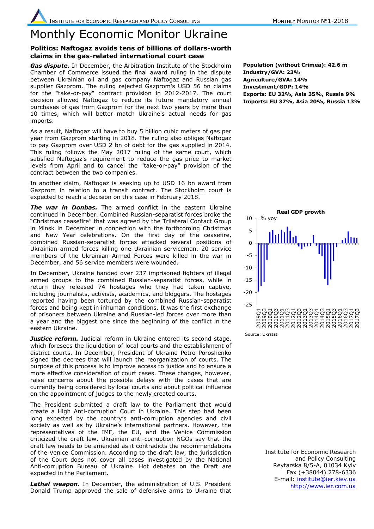## Monthly Economic Monitor Ukraine

#### **Politics: Naftogaz avoids tens of billions of dollars-worth claims in the gas-related international court case**

*Gas dispute.* In December, the Arbitration Institute of the Stockholm Chamber of Commerce issued the final award ruling in the dispute between Ukrainian oil and gas company Naftogaz and Russian gas supplier Gazprom. The ruling rejected Gazprom's USD 56 bn claims for the "take-or-pay" contract provision in 2012-2017. The court decision allowed Naftogaz to reduce its future mandatory annual purchases of gas from Gazprom for the next two years by more than 10 times, which will better match Ukraine's actual needs for gas imports.

As a result, Naftogaz will have to buy 5 billion cubic meters of gas per year from Gazprom starting in 2018. The ruling also obliges Naftogaz to pay Gazprom over USD 2 bn of debt for the gas supplied in 2014. This ruling follows the May 2017 ruling of the same court, which satisfied Naftogaz's requirement to reduce the gas price to market levels from April and to cancel the "take-or-pay" provision of the contract between the two companies.

In another claim, Naftogaz is seeking up to USD 16 bn award from Gazprom in relation to a transit contract. The Stockholm court is expected to reach a decision on this case in February 2018.

**The war in Donbas.** The armed conflict in the eastern Ukraine continued in December. Combined Russian-separatist forces broke the "Christmas ceasefire" that was agreed by the Trilateral Contact Group in Minsk in December in connection with the forthcoming Christmas and New Year celebrations. On the first day of the ceasefire, combined Russian-separatist forces attacked several positions of Ukrainian armed forces killing one Ukrainian serviceman. 20 service members of the Ukrainian Armed Forces were killed in the war in December, and 56 service members were wounded.

In December, Ukraine handed over 237 imprisoned fighters of illegal armed groups to the combined Russian-separatist forces, while in return they released 74 hostages who they had taken captive, including journalists, activists, academics, and bloggers. The hostages reported having been tortured by the combined Russian-separatist forces and being kept in inhuman conditions. It was the first exchange of prisoners between Ukraine and Russian-led forces over more than a year and the biggest one since the beginning of the conflict in the eastern Ukraine.

**Justice reform.** Judicial reform in Ukraine entered its second stage, which foresees the liquidation of local courts and the establishment of district courts. In December, President of Ukraine Petro Poroshenko signed the decrees that will launch the reorganization of courts. The purpose of this process is to improve access to justice and to ensure a more effective consideration of court cases. These changes, however, raise concerns about the possible delays with the cases that are currently being considered by local courts and about political influence on the appointment of judges to the newly created courts.

The President submitted a draft law to the Parliament that would create a High Anti-corruption Court in Ukraine. This step had been long expected by the country's anti-corruption agencies and civil society as well as by Ukraine's international partners. However, the representatives of the IMF, the EU, and the Venice Commission criticized the draft law. Ukrainian anti-corruption NGOs say that the draft law needs to be amended as it contradicts the recommendations of the Venice Commission. According to the draft law, the jurisdiction of the Court does not cover all cases investigated by the National Anti-corruption Bureau of Ukraine. Hot debates on the Draft are expected in the Parliament.

*Lethal weapon.* In December, the administration of U.S. President Donald Trump approved the sale of defensive arms to Ukraine that

**Population (without Crimea): 42.6 m Industry/GVA: 23% Agriculture/GVA: 14% Investment/GDP: 14% Exports: EU 32%, Asia 35%, Russia 9% Imports: EU 37%, Asia 20%, Russia 13%**



Institute for Economic Research and Policy Consulting Reytarska 8/5-A, 01034 Kyiv Fax (+38044) 278-6336 E-mail: [institute@ier.kiev.ua](mailto:institute@ier.kiev.ua) [http://www.ier.com.ua](http://www.ier.com.ua/)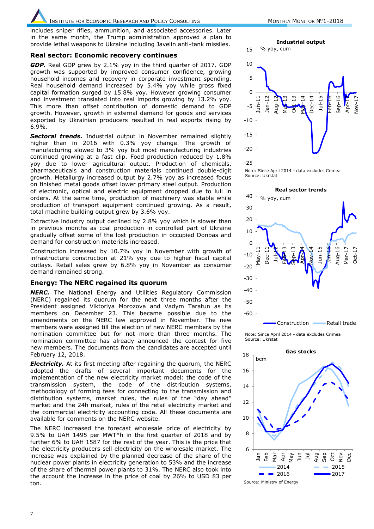INSTITUTE FOR ECONOMIC RESEARCH AND POLICY CONSULTING MONTHLY MONITOR №1-2018

includes sniper rifles, ammunition, and associated accessories. Later in the same month, the Trump administration approved a plan to provide lethal weapons to Ukraine including Javelin anti-tank missiles.

#### **Real sector: Economic recovery continues**

*GDP.* Real GDP grew by 2.1% yoy in the third quarter of 2017. GDP growth was supported by improved consumer confidence, growing household incomes and recovery in corporate investment spending. Real household demand increased by 5.4% yoy while gross fixed capital formation surged by 15.8% yoy. However growing consumer and investment translated into real imports growing by 13.2% yoy. This more than offset contribution of domestic demand to GDP growth. However, growth in external demand for goods and services exported by Ukrainian producers resulted in real exports rising by 6.9%.

*Sectoral trends.* Industrial output in November remained slightly higher than in 2016 with 0.3% yoy change. The growth of manufacturing slowed to 3% yoy but most manufacturing industries continued growing at a fast clip. Food production reduced by 1.8% yoy due to lower agricultural output. Production of chemicals, pharmaceuticals and construction materials continued double-digit growth. Metallurgy increased output by 2.7% yoy as increased focus on finished metal goods offset lower primary steel output. Production of electronic, optical and electric equipment dropped due to lull in orders. At the same time, production of machinery was stable while production of transport equipment continued growing. As a result, total machine building output grew by 3.6% yoy.

Extractive industry output declined by 2.8% yoy which is slower than in previous months as coal production in controlled part of Ukraine gradually offset some of the lost production in occupied Donbas and demand for construction materials increased.

Construction increased by 10.7% yoy in November with growth of infrastructure construction at 21% yoy due to higher fiscal capital outlays. Retail sales grew by 6.8% yoy in November as consumer demand remained strong.

#### **Energy: The NERC regained its quorum**

*NERC.* The National Energy and Utilities Regulatory Commission (NERC) regained its quorum for the next three months after the President assigned Viktoriya Morozova and Vadym Taratun as its members on December 23. This became possible due to the amendments on the NERC law approved in November. The new members were assigned till the election of new NERC members by the nomination committee but for not more than three months. The nomination committee has already announced the contest for five new members. The documents from the candidates are accepted until February 12, 2018.

*Electricity.* At its first meeting after regaining the quorum, the NERC adopted the drafts of several important documents for the implementation of the new electricity market model: the code of the transmission system, the code of the distribution systems, methodology of forming fees for connecting to the transmission and distribution systems, market rules, the rules of the "day ahead" market and the 24h market, rules of the retail electricity market and the commercial electricity accounting code. All these documents are available for comments on the NERC website.

The NERC increased the forecast wholesale price of electricity by 9.5% to UAH 1495 per MWT\*h in the first quarter of 2018 and by further 6% to UAH 1587 for the rest of the year. This is the price that the electricity producers sell electricity on the wholesale market. The increase was explained by the planned decrease of the share of the nuclear power plants in electricity generation to 53% and the increase of the share of thermal power plants to 31%. The NERC also took into the account the increase in the price of coal by 26% to USD 83 per ton.







Note: Since April 2014 - data excludes Crimea Source: Ukrstat

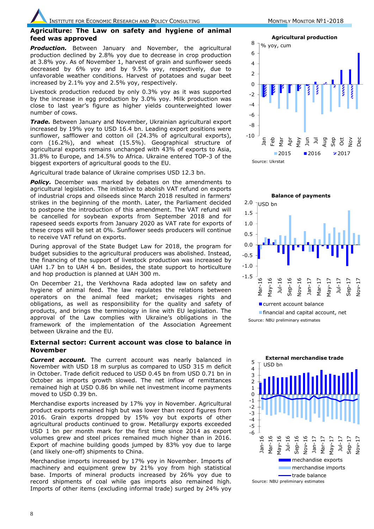#### **Agriculture: The Law on safety and hygiene of animal feed was approved**

**Production.** Between January and November, the agricultural production declined by 2.8% yoy due to decrease in crop production at 3.8% yoy. As of November 1, harvest of grain and sunflower seeds decreased by 6% yoy and by 9.5% yoy, respectively, due to unfavorable weather conditions. Harvest of potatoes and sugar beet increased by 2.1% yoy and 2.5% yoy, respectively.

Livestock production reduced by only 0.3% yoy as it was supported by the increase in egg production by 3.0% yoy. Milk production was close to last year's figure as higher yields counterweighted lower number of cows.

*Trade.* Between January and November, Ukrainian agricultural export increased by 19% yoy to USD 16.4 bn. Leading export positions were sunflower, safflower and cotton oil (24.3% of agricultural exports), corn (16.2%), and wheat (15.5%). Geographical structure of agricultural exports remains unchanged with 43% of exports to Asia, 31.8% to Europe, and 14.5% to Africa. Ukraine entered TOP-3 of the biggest exporters of agricultural goods to the EU.

Agricultural trade balance of Ukraine comprises USD 12.3 bn.

**Policy.** December was marked by debates on the amendments to agricultural legislation. The initiative to abolish VAT refund on exports of industrial crops and oilseeds since March 2018 resulted in farmers' strikes in the beginning of the month. Later, the Parliament decided to postpone the introduction of this amendment. The VAT refund will be cancelled for soybean exports from September 2018 and for rapeseed seeds exports from January 2020 as VAT rate for exports of these crops will be set at 0%. Sunflower seeds producers will continue to receive VAT refund on exports.

During approval of the State Budget Law for 2018, the program for budget subsidies to the agricultural producers was abolished. Instead, the financing of the support of livestock production was increased by UAH 1.7 bn to UAH 4 bn. Besides, the state support to horticulture and hop production is planned at UAH 300 m.

On December 21, the Verkhovna Rada adopted law on safety and hygiene of animal feed. The law regulates the relations between operators on the animal feed market; envisages rights and obligations, as well as responsibility for the quality and safety of products, and brings the terminology in line with EU legislation. The approval of the Law complies with Ukraine's obligations in the framework of the implementation of the Association Agreement between Ukraine and the EU.

#### **External sector: Current account was close to balance in November**

**Current account.** The current account was nearly balanced in November with USD 18 m surplus as compared to USD 315 m deficit in October. Trade deficit reduced to USD 0.45 bn from USD 0.71 bn in October as imports growth slowed. The net inflow of remittances remained high at USD 0.86 bn while net investment income payments moved to USD 0.39 bn.

Merchandise exports increased by 17% yoy in November. Agricultural product exports remained high but was lower than record figures from 2016. Grain exports dropped by 15% yoy but exports of other agricultural products continued to grow. Metallurgy exports exceeded USD 1 bn per month mark for the first time since 2014 as export volumes grew and steel prices remained much higher than in 2016. Export of machine building goods jumped by 83% yoy due to large (and likely one-off) shipments to China.

Merchandise imports increased by 17% yoy in November. Imports of machinery and equipment grew by 21% yoy from high statistical base. Imports of mineral products increased by 26% yoy due to record shipments of coal while gas imports also remained high. Imports of other items (excluding informal trade) surged by 24% yoy





Source: NBU preliminary estimates

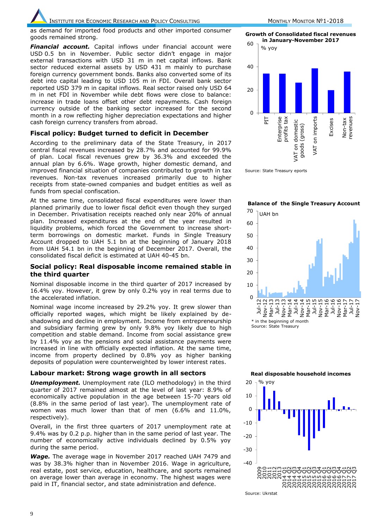as demand for imported food products and other imported consumer goods remained strong.

*Financial account.* Capital inflows under financial account were USD 0.5 bn in November. Public sector didn't engage in major external transactions with USD 31 m in net capital inflows. Bank sector reduced external assets by USD 431 m mainly to purchase foreign currency government bonds. Banks also converted some of its debt into capital leading to USD 105 m in FDI. Overall bank sector reported USD 379 m in capital inflows. Real sector raised only USD 64 m in net FDI in November while debt flows were close to balance: increase in trade loans offset other debt repayments. Cash foreign currency outside of the banking sector increased for the second month in a row reflecting higher depreciation expectations and higher cash foreign currency transfers from abroad.

#### **Fiscal policy: Budget turned to deficit in December**

According to the preliminary data of the State Treasury, in 2017 central fiscal revenues increased by 28.7% and accounted for 99.9% of plan. Local fiscal revenues grew by 36.3% and exceeded the annual plan by 6.6%. Wage growth, higher domestic demand, and improved financial situation of companies contributed to growth in tax revenues. Non-tax revenues increased primarily due to higher receipts from state-owned companies and budget entities as well as funds from special confiscation.

At the same time, consolidated fiscal expenditures were lower than planned primarily due to lower fiscal deficit even though they surged in December. Privatisation receipts reached only near 20% of annual plan. Increased expenditures at the end of the year resulted in liquidity problems, which forced the Government to increase shortterm borrowings on domestic market. Funds in Single Treasury Account dropped to UAH 5.1 bn at the beginning of January 2018 from UAH 54.1 bn in the beginning of December 2017. Overall, the consolidated fiscal deficit is estimated at UAH 40-45 bn.

#### **Social policy: Real disposable income remained stable in the third quarter**

Nominal disposable income in the third quarter of 2017 increased by 16.4% yoy. However, it grew by only 0.2% yoy in real terms due to the accelerated inflation.

Nominal wage income increased by 29.2% yoy. It grew slower than officially reported wages, which might be likely explained by deshadowing and decline in employment. Income from entrepreneurship and subsidiary farming grew by only 9.8% yoy likely due to high competition and stable demand. Income from social assistance grew by 11.4% yoy as the pensions and social assistance payments were increased in line with officially expected inflation. At the same time, income from property declined by 0.8% yoy as higher banking deposits of population were counterweighted by lower interest rates.

#### **Labour market: Strong wage growth in all sectors**

*Unemployment.* Unemployment rate (ILO methodology) in the third quarter of 2017 remained almost at the level of last year: 8.9% of economically active population in the age between 15-70 years old (8.8% in the same period of last year). The unemployment rate of women was much lower than that of men (6.6% and 11.0%, respectively).

Overall, in the first three quarters of 2017 unemployment rate at 9.4% was by 0.2 p.p. higher than in the same period of last year. The number of economically active individuals declined by 0.5% yoy during the same period.

*Wage.* The average wage in November 2017 reached UAH 7479 and was by 38.3% higher than in November 2016. Wage in agriculture, real estate, post service, education, healthcare, and sports remained on average lower than average in economy. The highest wages were paid in IT, financial sector, and state administration and defence.

**Growth of Consolidated fiscal revenues in January-November 2017**



Source: State Treasury eports

**Balance of the Single Treasury Account**





**Real disposable household incomes**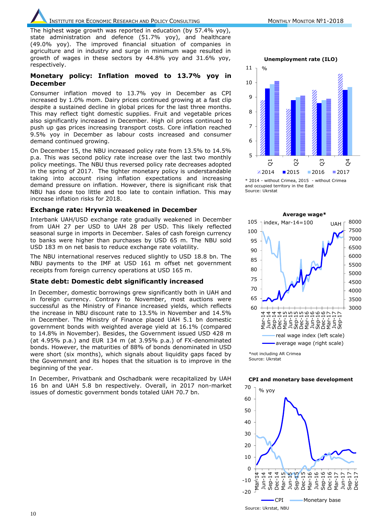INSTITUTE FOR ECONOMIC RESEARCH AND POLICY CONSULTING MONTHLY MONITOR №1-2018

The highest wage growth was reported in education (by 57.4% yoy), state administration and defence (51.7% yoy), and healthcare (49.0% yoy). The improved financial situation of companies in agriculture and in industry and surge in minimum wage resulted in growth of wages in these sectors by 44.8% yoy and 31.6% yoy, respectively.

#### **Monetary policy: Inflation moved to 13.7% yoy in December**

Consumer inflation moved to 13.7% yoy in December as CPI increased by 1.0% mom. Dairy prices continued growing at a fast clip despite a sustained decline in global prices for the last three months. This may reflect tight domestic supplies. Fruit and vegetable prices also significantly increased in December. High oil prices continued to push up gas prices increasing transport costs. Core inflation reached 9.5% yoy in December as labour costs increased and consumer demand continued growing.

On December 15, the NBU increased policy rate from 13.5% to 14.5% p.a. This was second policy rate increase over the last two monthly policy meetings. The NBU thus reversed policy rate decreases adopted in the spring of 2017. The tighter monetary policy is understandable taking into account rising inflation expectations and increasing demand pressure on inflation. However, there is significant risk that NBU has done too little and too late to contain inflation. This may increase inflation risks for 2018.

#### **Exchange rate: Hryvnia weakened in December**

Interbank UAH/USD exchange rate gradually weakened in December from UAH 27 per USD to UAH 28 per USD. This likely reflected seasonal surge in imports in December. Sales of cash foreign currency to banks were higher than purchases by USD 65 m. The NBU sold USD 183 m on net basis to reduce exchange rate volatility.

The NBU international reserves reduced slightly to USD 18.8 bn. The NBU payments to the IMF at USD 161 m offset net government receipts from foreign currency operations at USD 165 m.

#### **State debt: Domestic debt significantly increased**

In December, domestic borrowings grew significantly both in UAH and in foreign currency. Contrary to November, most auctions were successful as the Ministry of Finance increased yields, which reflects the increase in NBU discount rate to 13.5% in November and 14.5% in December. The Ministry of Finance placed UAH 5.1 bn domestic government bonds with weighted average yield at 16.1% (compared to 14.8% in November). Besides, the Government issued USD 428 m (at 4.95% p.a.) and EUR 134 m (at 3.95% p.a.) of FX-denominated bonds. However, the maturities of 88% of bonds denominated in USD were short (six months), which signals about liquidity gaps faced by the Government and its hopes that the situation is to improve in the beginning of the year.

In December, Privatbank and Oschadbank were recapitalized by UAH 16 bn and UAH 5.8 bn respectively. Overall, in 2017 non-market issues of domestic government bonds totaled UAH 70.7 bn.

5 6 7 8 9 10 11  $\vec{o}$  $\beta$  $\mathcal{S}$  $\beta$  $\ge 2014$  2015 2016 2017 **Unemployment rate (ILO)**  $0/$ 





Source: Ukrstat Source: Ukrstat \*not including AR Crimea

#### **CPI and monetary base development**



Source: Ukrstat, NBU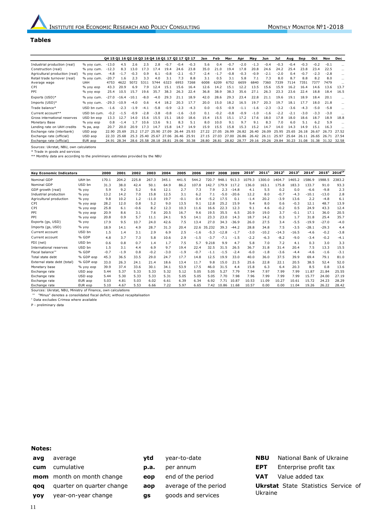#### **Tables**

|                                         |             |         |                |         |                        |        |        | 04 15 01 16 02 16 03 16 04 16 01 17 02 17 03 17 |        | Jan    | Feb    | Mar    | Apr    | May    | Jun    | Jul    | Aug    | Sep    | Oct    | Nov         | Dec      |
|-----------------------------------------|-------------|---------|----------------|---------|------------------------|--------|--------|-------------------------------------------------|--------|--------|--------|--------|--------|--------|--------|--------|--------|--------|--------|-------------|----------|
| Industrial production (real)            | % yoy cum.  | $-13.0$ | 4.5            | 2.6     | 2.5                    | 2.8    | $-0.7$ | $-0.4$                                          | $-0.3$ | 5.6    | 0.4    | $-0.7$ | $-2.0$ | $-1.3$ | $-0.4$ | $-0.3$ | $-0.4$ | $-0.3$ | $-0.2$ | $-0.1$      | $\cdots$ |
| Construction (real)                     | % yoy cum.  | $-12.3$ | 8.3            | 13.0    | 17.3                   | 17.4   | 19.4   | 24.6                                            | 23.8   | 35.0   | 21.0   | 19.4   | 17.8   | 20.8   | 24.6   | 24.2   | 25.4   | 23.8   | 23.4   | 22.5        | $\cdots$ |
| Agricultural production (real)          | % vov cum.  | $-4.8$  | $-1.7$         | $-0.3$  | 0.9                    | 6.1    | $-0.8$ | $-2.1$                                          | $-0.7$ | $-2.4$ | $-1.7$ | $-0.8$ | $-0.3$ | $-0.9$ | $-2.1$ | $-2.0$ | 0.4    | $-0.7$ | $-2.3$ | $-2.8$      | $\cdots$ |
| Retail trade turnover (real)            | % yoy cum.  | $-20.7$ | 1.6            | 2.3     | 3.3                    | 4.0    | 3.1    | 7.3                                             | 8.8    | 3.1    | 0.5    | 3.1    | 5.8    | 7.1    | 7.3    | 8.0    | 8.7    | 8.8    | 8.2    | 8.0         | $\cdots$ |
| Average wage                            | <b>UAH</b>  | 4753    | 4622           | 5072    | 5311                   | 5744   | 6323   | 6953                                            | 7268   | 6008   | 6209   | 6752   | 6659   | 6840   | 7360   | 7339   | 7114   | 7351   | 7377   | 7479        |          |
| CPI                                     | % yoy eop   | 43.3    | 20.9           | 6.9     | 7.9                    | 12.4   | 15.1   | 15.6                                            | 16.4   | 12.6   | 14.2   | 15.1   | 12.2   | 13.5   | 15.6   | 15.9   | 16.2   | 16.4   | 14.6   | 13.6        | 13.7     |
| PPI                                     | % yoy eop   | 25.4    | 10.5           | 15.7    | 19.6                   | 35.7   | 38.3   | 26.3                                            | 22.4   | 36.8   | 38.9   | 38.3   | 35.6   | 27.1   | 26.3   | 23.3   | 23.6   | 22.4   | 18.8   | 18.4        | 16.5     |
| Exports (USD)*                          | % yoy cum.  | $-27.0$ | -16.4          | $-10.1$ | $-8.0$                 | $-4.0$ | 29.3   | 21.1                                            | 18.9   | 42.0   | 28.6   | 29.3   | 23.4   | 22.8   | 21.1   | 19.6   | 19.1   | 18.9   | 18.4   | 20.1        |          |
| Imports (USD)*                          | % yoy cum.  |         | $-29.3 - 10.9$ | $-4.0$  | 0.6                    | 4.4    | 18.2   | 20.3                                            | 17.7   | 20.0   | 15.0   | 18.2   | 16.5   | 19.7   | 20.3   | 19.7   | 18.1   | 17.7   | 18.0   | 21.8        |          |
| Trade balance*                          | USD bn cum. | $-1.6$  | $-2.3$         | $-1.9$  | $-4.1$                 | $-5.8$ | $-0.9$ | $-2.3$                                          | $-4.3$ | 0.0    | $-0.5$ | $-0.9$ | $-1.1$ | $-1.6$ | $-2.3$ | $-3.2$ | $-3.6$ | $-4.3$ | $-5.0$ | $-5.8$      | $\cdots$ |
| Current account**                       | USD bn cum. | $-0.2$  | $-1.5$         | $-0.9$  | $-2.8$                 | $-3.8$ | $-0.8$ | $-1.6$                                          | $-3.0$ | 0.1    | $-0.2$ | $-0.8$ | $-0.9$ | $-1.0$ | $-1.6$ | $-2.2$ | $-2.1$ | $-3.0$ | $-3.3$ | $-3.0$      |          |
| Gross international reserves            | USD bn eop  | 13.3    | 12.7           | 14.0    | 15.6                   | 15.5   | 15.1   | 18.0                                            | 18.6   | 15.4   | 15.5   | 15.1   | 17.2   | 17.6   | 18.0   | 17.8   | 18.0   | 18.6   | 18.7   | 18.9        | 18.8     |
| Monetary Base                           | % yoy eop   | 0.8     | $-1.4$         | 1.7     | 10.6                   | 13.6   | 9.1    | 8.3                                             | 5.1    | 8.0    | 10.0   | 9.1    | 9.7    | 9.1    | 8.3    | 7.0    | 6.0    | 5.1    | 6.2    | 5.9         |          |
| Lending rate on UAH credits             | % pa, aop   | 20.7    | 20.0           | 20.9    | 17.3                   | 14.7   | 15.8   | 14.7                                            | 14.9   | 15.9   | 15.5   | 15.8   | 15.3   | 15.2   | 14.7   | 14.0   | 14.3   | 14.9   | 15.1   | 16.3        |          |
| Exchange rate (interbank)               | USD aop     | 22.90   | 25.69          |         | 25.2 17.27             | 25.90  | 27.09  | 26.44                                           | 25.93  | 27.22  | 27.05  | 26.99  | 26.82  | 26.40  | 26.09  | 25.95  | 25.65  | 26.18  | 26.67  | 26.73       | 27.52    |
| Exchange rate (official)                | USD aop     | 22.33   | 25.68          |         | 25.3 25.40 25.67       |        | 27.06  | 26.46                                           | 25.91  | 27.15  | 27.03  | 27.00  | 26.86  | 26.42  | 26.11  | 25.97  | 25.64  | 26.11  | 26.65  | 26.71       | 27.54    |
| Exchange rate (official)                | EUR aop     | 24.91   | 28.34          |         | 28.6 25.58 28.18 28.81 |        |        | 29.06                                           | 30.38  | 28.80  | 28.81  | 28.82  | 28.77  | 29.16  | 29.26  | 29.84  | 30.23  | 31.08  | 31.38  | 31.32 32.58 |          |
| Sources: Ukrstat, NBU, own calculations |             |         |                |         |                        |        |        |                                                 |        |        |        |        |        |        |        |        |        |        |        |             |          |

\* Trade in goods and services \*\* Monthly data are according to the preliminary estimates provided by the NBU

| <b>Key Economic Indicators</b> |           | 2000   | 2001   | 2002   | 2003    | 2004   | 2005   | 2006   | 2007       | 2008    | 2009    | $2010^{\circ}$ | $2011$ <sup>c</sup> | $2012^c$ | $2013^c$ | $2014^c$ | $2015^{\circ}$ | $2016^{\text{CP}}$ |
|--------------------------------|-----------|--------|--------|--------|---------|--------|--------|--------|------------|---------|---------|----------------|---------------------|----------|----------|----------|----------------|--------------------|
| Nominal GDP                    | UAH bn    | 170.1  | 204.2  | 225.8  | 267.3   | 345.1  | 441.5  | 544.2  | 720.7      | 948.1   | 913.3   | 1079.3         | 1300.0              | 1404.7   | 1465.2   | 1586.9   | 1988.5         | 2383.2             |
| Nominal GDP                    | USD bn    | 31.3   | 38.0   | 42.4   | 50.1    | 64.9   | 86.2   | 107.8  | 142.7      | 179.9   | 117.2   | 136.0          | 163.1               | 175.8    | 183.3    | 133.7    | 91.0           | 93.3               |
| GDP growth (real)              | $%$ yoy   | 5.9    | 9.2    | 5.2    | 9.6     | 12.1   | 2.7    | 7.3    | 7.9        | 2.3     | $-14.8$ | 4.1            | 5.5                 | 0.2      | 0.0      | $-6.6$   | $-9.8$         | 2.3                |
| Industrial production          | $%$ yoy   | 13.2   | 14.2   | 7.0    | 15.8    | 12.5   | 3.1    | 6.2    | 7.1        | $-5.0$  | $-20.6$ | 12.2           | 8.0                 | $-0.7$   | $-4.3$   | $-10.1$  | $-13.0$        | 2.8                |
| Agricultural production        | $%$ yoy   | 9.8    | 10.2   | 1.2    | $-11.0$ | 19.7   | $-0.1$ | 0.4    | $-5.2$     | 17.5    | 0.1     | $-1.4$         | 20.2                | $-3.9$   | 13.6     | 2.2      | $-4.8$         | 6.1                |
| <b>CPI</b>                     | % yoy aop | 28.2   | 12.0   | 0.8    | 5.2     | 9.0    | 13.5   | 9.1    | 12.8       | 25.2    | 15.9    | 9.4            | 8.0                 | 0.6      | $-0.3$   | 12.1     | 48.7           | 13.9               |
| CPI                            | % yoy eop | 25.8   | 6.1    | $-0.6$ | 8.2     | 12.3   | 10.3   | 11.6   | 16.6       | 22.3    | 12.3    | 9.1            | 4.6                 | $-0.2$   | 0.5      | 24.9     | 43.3           | 12.4               |
| PPI                            | % yoy aop | 20.9   | 8.6    | 3.1    | 7.6     | 20.5   | 16.7   | 9.6    | 19.5       | 35.5    | 6.5     | 20.9           | 19.0                | 3.7      | $-0.1$   | 17.1     | 36.0           | 20.5               |
| PPI                            | % yoy eop | 20.8   | 0.9    | 5.7    | 11.1    | 24.1   | 9.5    | 14.1   | 23.3       | 23.0    | 14.3    | 18.7           | 14.2                | 0.3      | 1.7      | 31.8     | 25.4           | 35.7               |
| Exports (gs, USD)              | $%$ yoy   | 17.9   | 9.5    | 10.7   | 24.0    | 42.6   | 7.5    | 13.4   | 27.0       | 34.3    | $-36.9$ | 26.0           | 27.5                | 3.4      | $-5.5$   | $-19.9$  | $-27.0$        | $-4.0$             |
| Imports (gs, USD)              | $%$ yoy   | 18.9   | 14.1   | 4.9    | 28.7    | 31.3   | 20.4   | 22.6   | .232<br>35 | 39.3    | $-44.2$ | 28.8           | 34.8                | 7.5      | $-3.5$   | $-28.1$  | $-29.3$        | 4.4                |
| Current account                | USD bn    | 1.5    | 1.4    | 3.1    | 2.9     | 6.9    | 2.5    | $-1.6$ | $-5.3$     | $-12.8$ | $-1.7$  | $-3.0$         | $-10.2$             | $-14.3$  | $-16.5$  | $-4.6$   | $-0.2$         | $-3.8$             |
| Current account                | % GDP     | 4.8    | 3.7    | 7.3    | 5.8     | 10.6   | 2.9    | $-1.5$ | $-3.7$     | $-7.1$  | $-1.5$  | $-2.2$         | $-6.3$              | $-8.2$   | $-9.0$   | $-3.4$   | $-0.2$         | $-4.1$             |
| FDI (net)                      | USD bn    | 0.6    | 0.8    | 0.7    | 1.4     | 1.7    | 7.5    | 5.7    | 9.218      | 9.9     | 4.7     | 5.8            | 7.0                 | 7.2      | 4.1      | 0.3      | 3.0            | 3.3                |
| <b>International reserves</b>  | USD bn    | 1.5    | 3.1    | 4.4    | 6.9     | 9.7    | 19.4   | 22.4   | 32.5       | 31.5    | 26.5    | 36.7           | 31.8                | 31.4     | 20.4     | 7.5      | 13.3           | 15.5               |
| Fiscal balance""               | % GDP     | $-0.7$ | $-1.9$ | 0.8    | $-0.2$  | $-3.0$ | $-1.9$ | $-0.7$ | $-1.1$     | $-1.5$  | $-2.4$  | $-6.0$         | $-1.8$              | $-3.6$   | $-4.4$   | $-4.6$   | $-1.6$         | $-3.1$             |
| Total state debt               | % GDP eop | 45.3   | 36.5   | 33.5   | 29.0    | 24.7   | 17.7   | 14.8   | 12.5       | 19.9    | 33.0    | 40.0           | 36.0                | 37.5     | 39.9     | 69.4     | 79.1           | 81.0               |
| External state debt (total)    | % GDP eop | 33.0   | 26.3   | 24.1   | 21.4    | 18.6   | 13.4   | 11.7   | 9.8        | 15.0    | 21.5    | 25.6           | 22.8                | 22.1     | 20.5     | 38.5     | 52.4           | 52.0               |
| Monetary base                  | % vov eop | 39.9   | 37.4   | 33.6   | 30.1    | 34.1   | 53.9   | 17.5   | 46.0       | 31.5    | 4.4     | 15.8           | 6.3                 | 6.4      | 20.3     | 8.5      | 0.8            | 13.6               |
| Exchange rate                  | USD aop   | 5.44   | 5.37   | 5.33   | 5.33    | 5.32   | 5.12   | 5.05   | 5.05       | 5.27    | 7.79    | 7.94           | 7.97                | 7.99     | 7.99     | 11.87    | 21.84          | 25.55              |
| Exchange rate                  | USD eop   | 5.44   | 5.30   | 5.33   | 5.33    | 5.31   | 5.05   | 5.05   | 5.05       | 7.70    | 7.98    | 7.96           | 7.99                | 7.99     | 7.99     | 15.77    | 24.00          | 27.19              |
| Exchange rate                  | EUR aop   | 5.03   | 4.81   | 5.03   | 6.02    | 6.61   | 6.39   | 6.34   | 6.92       | 7.71    | 10.87   | 10.53          | 11.09               | 10.27    | 10.61    | 15.72    | 24.23          | 28.29              |
| Exchange rate                  | EUR eop   | 5.10   | 4.67   | 5.53   | 6.66    | 7.22   | 5.97   | 6.65   | 7.42       | 10.86   | 11.68   | 10.57          | 0.00                | 0.00     | 11.04    | 19.26    | 26.22          | 28.42              |

Sources: Ukrstat, NBU, Ministry of Finance, own calculations ''' "Minus" denotes a consolidated fiscal deficit; without recapitalisation

<sup>c</sup> Data excludes Crimea where available

P - preliminary data

#### **Notes:**

- **avg** average **cum** cumulative **mom** month on month change **qoq** quarter on quarter change **yoy** year-on-year change
- 
- **ytd** year-to-date **p.a.** per annum
	- **eop** end of the period
	- **aop** average of the period
	- **gs** goods and services
- **NBU** National Bank of Ukraine **EPT** Enterprise profit tax **VAT** Value added tax **Ukrstat** State Statistics Service of Ukraine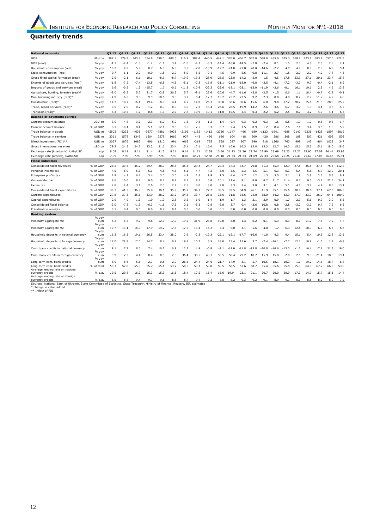#### **Quarterly trends**

| <b>National accounts</b>                                                                                                                                                     |                      | 03 12          | 04 12   | 01 13        | 02 13          | Q3 13          | 04 13       | Q1 14        | Q2 14   | Q3 14   | Q4 14 Q1 15 Q2 15 Q3 15 |           |             |                | Q4 15 Q1 16 Q2 16 |                 |         |         | 7231         | Q3 16 Q4 16 Q1 17 Q2 17 |                    | 03 17          |
|------------------------------------------------------------------------------------------------------------------------------------------------------------------------------|----------------------|----------------|---------|--------------|----------------|----------------|-------------|--------------|---------|---------|-------------------------|-----------|-------------|----------------|-------------------|-----------------|---------|---------|--------------|-------------------------|--------------------|----------------|
| GDP                                                                                                                                                                          | UAH bn               | 387.1          | 379.2   | 303.8        | 354.8          | 398.0          | 408.6       | 316.9        | 382.4   | 440.5   | 447.1                   | 376.0     | 456.7       | 567.0          | 588.8             | 455.6           | 535.3   | 669.2   |              | 583.9                   | 657.0              | 821.3          |
| GDP (real)                                                                                                                                                                   | % yoy                | $-1.3$         | $-2.4$  | $-1.3$       | $-1.2$         | $-1.1$         | 3.4         | $-1.0$       | $-4.3$  | $-5.3$  | $-14.4$                 | $-16.0$   | $-14.5$     | $-7.0$         | $-2.4$            | 0.1             | 1.5     | 2.3     | 4.8          | 2.5                     | 2.3                | 2.1            |
| Household consumption (real)                                                                                                                                                 | % yoy                | 10.2           | 4.9     | 5.9          | 8.7            | 6.8            | 6.3         | 3.3          | $-7.8$  | $-13.9$ | $-12.2$                 | $-21.0$   | $-27.8$     | $-20.0$        | $-14.6$           | $-2.2$          | 4.0     | 4.7     | 0.9          | 2.8                     | 6.9                | 5.4            |
| State consumption (real)                                                                                                                                                     | % yoy                | 9.7            | 1.1     | 2.0          | $-0.9$         | $-1.5$         | $-2.9$      | $-5.9$       | 5.2     | 0.1     | 4.5                     | 0.9       | $-5.6$      | $-0.8$         | 11.1              | 2.7             | $-1.5$  | 2.0     | $-2.2$       | 4.2                     | $-7.8$             | 4.3            |
| Gross fixed capital formation (real)                                                                                                                                         | % yoy                | $-2.9$         | $-2.1$  | 6.1          | $-18.1$        | $-8.9$         | $-8.7$      | $-19.9$      | $-19.3$ | $-28.0$ | $-26.5$                 | $-23.8$   | $-14.2$     | $-5.0$         | 1.5               | 4.5             | 17.8    | 23.9    | 27.1         | 20.1                    | 23.7               | 15.8           |
| Exports of goods and services (real)                                                                                                                                         | % yoy                | $-1.8$         | $-7.2$  | $-7.4$       | $-13.5$        | -6.8           | $-4.5$      | $-5.1$       | $-2.3$  | $-16.8$ | $-31.1$                 | $-21.9$   | $-18.0$     | $-6.8$         | $-3.5$            | $-4.1$          | $-7.2$  | $-3.7$  | 9.7          | $-0.4$                  | $-2.1$             | 6.9            |
| Imports of goods and services (real)                                                                                                                                         | % yoy                | 6.6            | $-0.2$  | 1.3          | $-15.7$        | 1.7            | $-0.6$      | $-11.8$      | $-10.9$ | $-32.3$ | $-29.6$                 | $-18.1$   | $-28.1$     | $-13.0$        | $-11.9$           | $-3.6$          | $-0.1$  | 16.1    | 19.6         | 2.9                     | 4.6                | 13.2           |
| Agriculture, hunting, forestry (real)*                                                                                                                                       | % yoy                | $-8.0$         | $-3.5$  | 5.7          | 21.7           | $-2.8$         | 36.5        | 5.7          | $-9.1$  | 25.6    | $-20.6$                 | $-4.7$    | $-11.6$     | $-3.8$         | $-2.5$            | $-1.5$          | 0.6     | 1.1     | 18.4         | $-0.7$                  | $-2.9$             | $-0.1$         |
| Manufacturing industry (real)*                                                                                                                                               | % yoy                | $-4.9$         | $-6.6$  | $-9.3$       | $-9.9$         | $-10.6$        | $-9.8$      | $-3.2$       | $-5.4$  | $-12.7$ | $-13.2$                 | $-25.2$   | $-22.5$     | $-9.2$         | $-2.3$            | 8.0             | 4.0     | 0.2     | 2.7          | 11.7                    | 4.2                | 4.8            |
| Construction (real)*                                                                                                                                                         | % yoy                | $-14.3$        | $-18.7$ | $-16.1$      | $-19.4$        | $-8.0$         | $-4.4$      | 4.7          | $-14.0$ | $-26.3$ | $-30.8$                 | $-36.6$   | $-30.6$     | $-15.6$        | 6.0               | 9.8             | 17.2    | 20.2    | 15.6         | 21.3                    | 28.8               | 25.2           |
| Trade, repair services (real)*                                                                                                                                               | % yoy                | $-0.5$         | $-2.0$  | 0.2          | $-1.2$         | 0.9            | 0.9         | $-3.0$       | $-7.2$  | $-18.4$ | $-26.6$                 | $-26.5$   | $-19.9$     | $-14.2$        | 2.6               | 3.6             | 6.7     | 3.7     | 1.9          | 3.1                     | 3.8                | 5.7            |
| Transport (real)*                                                                                                                                                            | % yoy                | $-8.3$         | $-10.5$ | $-1.7$       | $-0.8$         | 1.3            | 2.7         | $-7.8$       | $-10.9$ | $-10.1$ | $-11.0$                 | $-10.5$   | $-2.4$      | 0.3            | 2.2               | 6.2             | 2.5     | 0.7     | 3.2          | 4.7                     | 4.1                | 6.3            |
| <b>Balance of payments (BPM6)</b>                                                                                                                                            |                      |                |         |              |                |                |             |              |         |         |                         |           |             |                |                   |                 |         |         |              |                         |                    |                |
| Current account balance                                                                                                                                                      | USD bn               | $-3.9$         | $-4.8$  | $-3.2$       | $-2.3$         | $-6.0$         | $-5.0$      | $-1.3$       | $-0.8$  | $-1.2$  | $-1.4$                  | $-0.4$    | 0.3         | 0.2            | $-0.3$            | $-1.5$          | 0.5     | $-1.9$  | $-1.0$       | $-0.8$                  | $-0.3$             | $-1.7$         |
| Current account balance                                                                                                                                                      | % of GDP             | $-8.1$         | $-10.1$ | $-8.4$       | $-5.1$         | $-12.1$        | $-9.8$      | $-3.5$       | $-2.5$  | $-3.3$  | $-6.7$                  | $-2.4$    | 1.5         | 0.9            | $-1.2$            | $-8.4$          | 2.6     | $-7.1$  | $-3.4$       | $-3.5$                  | $-1.0$             | $-5.2$         |
| Trade balance in goods                                                                                                                                                       | USD <sub>m</sub>     | -5503          | $-6233$ | 4635         | -3677          | $-7881$        | -5935       | $-2195$      | $-1185$ | 1412    | 2336                    | $-1147$   | $-496$      | $-689$         | $-1123$           | $-1941$         | $-685$  | $-2147$ | $-2235$      | $-1428$                 | $-1897$            | $-2819$        |
| Trade balance in services                                                                                                                                                    | USD <sub>m</sub>     | 2361           | 1578    | 1349         | 1504           | 2575           | 1066        | 937          | 443     | 456     | 686                     | 604       | 418         | 309            | 420               | 286             | 308     | 108     | 507          | 421                     | 608                | 503            |
| Direct investment (FDI)**                                                                                                                                                    | USD <sub>m</sub>     | 2037           | 1876    | 1082         | 496            | 1510           | 991         | $-665$       | $-319$  | 725     | 558                     | 397       | 907         | 890            | 818               | 1366            | 760     | 999     | 143          | 464                     | 1029               | 347            |
| Gross international reserves                                                                                                                                                 | USD bn               | 29.3           | 24.5    | 24.7         | 23.2           | 21.6           | 20.4        | 15.1         | 17.1    | 16.4    | 7.5                     | 10.0      | 10.3        | 12.8           | 13.3              | 12.7            | 14.0    | 15.6    | 15.5         | 15.1                    | 18.0               | 18.6           |
| Exchange rate (interbank), UAH/USD                                                                                                                                           | aop                  | 8.09           | 8.11    | 8.11         | 8.14           | 8.15           | 8.21        | 9.14         | 11.71   | 12.58   | 13.56                   | .23<br>21 | 21.26       | 21.74          | 22.90             | 25.69           | 25.23   | 17.27   | 25.90        | 27.09                   | 26.44              | 25.93          |
| Exchange rate (official), UAH/USD                                                                                                                                            | aop                  | 7.99           | 7.99    | 7.99         | 7.99           | 7.99           | 7.99        | 8.86         | 12.71   | 12.58   | 21.18                   | 21.33     | 21.23       | 21.69          | 22.33             | 25.68           | 25.26   | 25.40   | 25.67        | 27.06                   | 26.46              | 25.91          |
| <b>Fiscal indicators</b>                                                                                                                                                     |                      |                |         |              |                |                |             |              |         |         |                         |           |             |                |                   |                 |         |         |              |                         |                    |                |
| Consolidated fiscal revenues                                                                                                                                                 | % of GDP             | 28.2           | 33.6    | 35.2         | 29.4           | 28.9           | 28.6        | 35.4         | 29.4    | 24.7    | 27.4                    | 37.3      | 34.7        | 29.8           | 31.3              | 35.9            | 32.9    | 27.8    | 35.6         | 37.8                    | 75.5               | 112.8          |
| Personal income tax                                                                                                                                                          | % of GDP             | 4.5            | 5.0     | 5.3          | 5.1            | 4.6            | 4.8         | 5.1          | 4.7     | 4.2     | 5.0                     | 5.5       | 5.3         | 4.5            | 5.1               | 6.3             | 6.3     | 5.4     | 5.6          | 6.7                     | 12<br>$\mathbf{Q}$ | 20.1           |
| Enterprise profits tax                                                                                                                                                       | % of GDP             | 2.9            | 4.2     | 6.1          | 3.4            | 3.0            | 3.0         | 4.9          | 2.5     | 1.9     | 1.5                     | 4.4       | 1.7         | 1.2            | 1.3               | 3.5             | 2.1     | 1.9     | 2.8          | 2.5                     | 5.3                | 8.1            |
| Value-added tax                                                                                                                                                              | % of GDP             | 8.6            | 10.0    | 9.7          | 9.0            | 8.1            | 8.4         | 8.7          | 9.5     | 6.8     | 10.1                    | 11.4      | 9.1         | 8.0            | 8.2               | 11.7            | 11.4    | 8.1     | 9.3          | 13.7                    | 22.5               | 34.1           |
| Excise tax                                                                                                                                                                   | % of GDP             | 2.8            | 2.4     | 3.1          | 2.6            | 2.3            | 2.2         | 2.5          | 3.0     | 3.0     | 2.8                     | 3.3       | 3.4         | 3.0            | 3.1               | 4.1             | 5.1     | 4.1     | 3.9          | 4.4                     | 8.3                | 13.1           |
| Consolidated fiscal expenditures                                                                                                                                             | % of GDP             | 30.7           | 41.3    | 36.9         | 35.8           | 30.1           | 35.9        | 35.2         | 34.7    | 27.2    | 35.5                    | 33.5      | 34.9        | 26.1           | 41.9              | 35.1            | 35.6    | 30.8    | 38.6         | 37.1                    | 67.6               | 106.5          |
| Current expenditures                                                                                                                                                         | % of GDP             | 27.8           | 37.3    | 35.6         | 33.9           | 28.2           | 33.2        | 34.8         | 33.7    | 25.8    | 33.6                    | 31.8      | 33.6        | 24.0           | 38.0              | 34.2            | 33.9    | 27.9    | 33.0         | 36.2                    | 64.6               | 100.0          |
| Capital expenditures                                                                                                                                                         | % of GDP             | 2.9            | 4.0     | 1.3          | 1.9            | 1.9            | 2.8         | 0.5          | 1.0     | 1.4     | 1.9                     | 1.7       | 1.3         | 2.1            | 3.9               | 0.9             | 1.7     | 2.9     | 5.6          | 0.9                     | 3.0                | 6.5            |
| Consolidated fiscal balance                                                                                                                                                  | % of GDP             | $-3.0$         | $-7.8$  | $-1.9$       | $-6.3$         | $-1.5$         | $-7.3$      | 0.1          | $-5.3$  | $-2.8$  | $-8.8$                  | 3.7       | 0.4         | $-3.6$         | 10.8              | 0.8             | $-2.8$  | $-3.0$  | $-3.2$       | 0.7                     | 7.9                | 6.3            |
|                                                                                                                                                                              | % of GDP             | 0.1            | 0.4     | 0.0          |                | 0.2            | 0.1         |              | 0.0     | 0.0     | 0.1                     |           | 0.0         |                | 0.0               |                 |         |         |              |                         | 0.0                | 0.5            |
| Privatisation receipts                                                                                                                                                       |                      |                |         |              | 0.0            |                |             | 0.0          |         |         |                         | 0.0       |             | 0.0            |                   | 0.0             | 0.0     | 0.0     | 0.0          | 0.0                     |                    |                |
| <b>Banking system</b>                                                                                                                                                        | % yoy                |                |         |              |                |                |             |              |         |         |                         |           |             |                |                   |                 |         |         |              |                         |                    |                |
| Monetary aggregate M0                                                                                                                                                        | cum                  | 5.2            | 5.5     | 9.7          | 9.8            | 12.3           | 17.0        | 19.2         | 31.9    | 28.8    | 19.0                    | 6.0       | $-1.3$      | $-6.2$         | $-0.1$            | $-5.3$          | 0.3     | 8.0     | 11.2         | 7.8                     | 7.2                | 4.7            |
| Monetary aggregate M2                                                                                                                                                        | % yoy<br>cum         | 10.7           | 13.1    | 16.0         | 17.9           | 19.2           | 17.5        | 17.7         | 13.4    | 14.2    | 5.4                     | 9.0       | 3.1         | 5.6            | 4.0               | $-1.7$          | 6.3     | 12.6    | 10.9         | 6.7                     | 6.5                | 6.6            |
|                                                                                                                                                                              | % yoy                |                |         |              |                |                |             |              |         |         |                         |           |             |                |                   |                 |         |         |              |                         |                    |                |
| Household deposits in national currency                                                                                                                                      | cum                  | 16.3           | 16.3    | 19.1         | 26.5           | 33.4           | 38.0        | 7.9          | $-2.3$  | $-12.3$ | $-22.1$                 | $-19.1$   | $-17.7$     | $-16.6$        | $-1.0$            | 4.3             | 9.4     | 15.1    | 5.4          | 10.5                    | 12.8               | 13.5           |
| Household deposits in foreign currency                                                                                                                                       | % yoy<br><b>CUIT</b> | 17.0           | 21.8    | 17.0         | 14.7           | 8.4            | 0.9         | 19.8         | 10.2    | 5.5     | 18.0                    | 25.4      | 11.6        | 3.7            | $-2.4$            | $-16.1$         | $-2.7$  | 12.1    | 10.9         | $-1.5$                  | 1.4                | $-0.8$         |
|                                                                                                                                                                              | % yoy                |                |         |              |                |                |             |              |         |         |                         |           |             |                |                   |                 |         |         |              |                         |                    |                |
| Com. bank credits in national currency                                                                                                                                       | cum<br>% yoy         | 9.1            | 7.7     | 8.6          | 7.4            | 10.2           | 16.9        | 12.3         | 4.9     | $-0.8$  | $-9.1$                  | -11.0     | -11.8       | $-15.8$        | $-20.8$           | $-16.6$         | -13.3   | $-1.5$  | 16.4         | 17.1                    | 21<br>.3           | 19.0           |
| Com. bank credits in foreign currency                                                                                                                                        | cum                  | -9.9           | $-7.3$  | $-4.4$       | $-0.4$         | 0.8            | 2.8         | 36.4         | 38.5    | 49.1    | 53.5                    | 58.4      | 29.2        | 18.7           | 15.9              | $-15.0$         | $-2.0$  | 2.0     | $-9.9$       | $-21.4$                 | $-18.3$            | $-19.4$        |
|                                                                                                                                                                              | % vov                |                |         |              |                |                |             |              |         |         |                         |           |             |                |                   |                 |         |         |              |                         |                    |                |
| Long-term com. bank credits                                                                                                                                                  | cum                  | $-8.0$<br>59.1 | $-6.6$  | $-5.6$       | $-2.7$         | $-0.5$<br>55.1 | 2.9<br>53.2 | 26.3<br>58.5 | 24.4    | 24.6    | 21.7<br>59.5            | 17.9      | 3.1<br>57.6 | $-5.7$<br>60.7 | $-10.5$<br>55.4   | $-18.1$<br>55.6 | $-10.3$ | $-1.1$  | 19.2<br>64.9 | 14.8                    | 18.7               | $-6.8$<br>53.0 |
| Long-term com. bank credits<br>Average lending rate on national                                                                                                              | % of total           |                | 57.8    | 55.9         | 55.7           |                |             |              | 59.1    | 59.8    |                         | 58.5      |             |                |                   |                 | 55.8    | 55.9    |              | 67.2                    | 66.8               |                |
| currency credits                                                                                                                                                             | % p.a.               | 19.5           | 20.8    | 16.2         | 15.3           | 15.3           | 16.5        | 18.4         | 17.5    | 16.4    | 16.6                    | 19.9      | 23.1        | 21.1           | 20.7              | 20.0            | 20.9    | 17.3    | 14.7         | 15.7                    | 15.1               | 14.4           |
| Average lending rate on foreign<br>currency credits                                                                                                                          | % n a                | 8.5            | 8.8     | $Q$ $\Delta$ | Q <sub>1</sub> | 9.6            | 8.8         | 8.7          | $Q$ $d$ | 9.2     | 8.8                     | 8.2       | 9.3         | 9.2            | 9.1               | 8.9             | 9.1     | 8.3     | 8.5          | 8.0                     | 8.0                | 7.2            |
| Sources: National Bank of Ukraine, State Committee of Statistics, State Treasury, Ministry of Finance, Reuters, IER estimates<br>* change in value added<br>** Inflow of FDI |                      |                |         |              |                |                |             |              |         |         |                         |           |             |                |                   |                 |         |         |              |                         |                    |                |